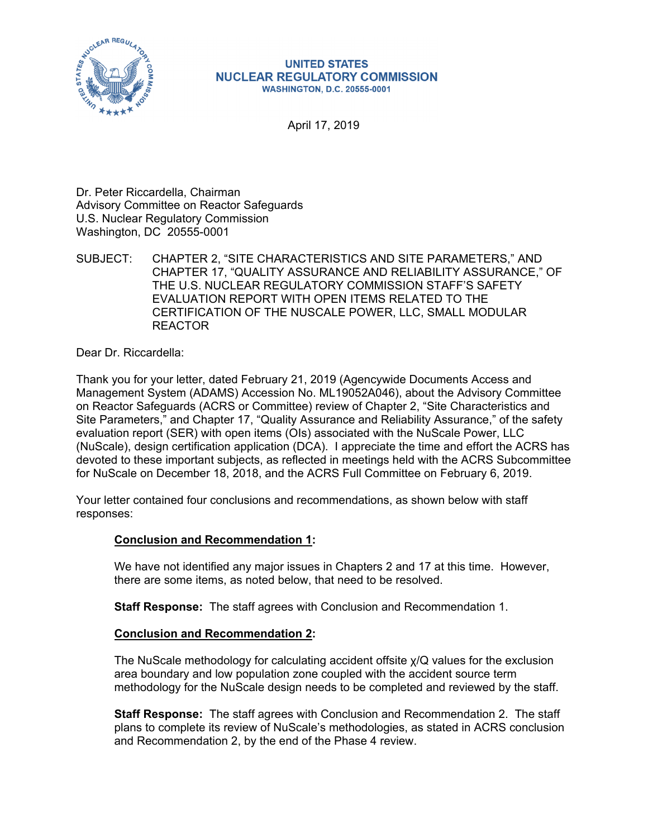

#### **UNITED STATES NUCLEAR REGULATORY COMMISSION WASHINGTON, D.C. 20555-0001**

April 17, 2019

Dr. Peter Riccardella, Chairman Advisory Committee on Reactor Safeguards U.S. Nuclear Regulatory Commission Washington, DC 20555-0001

SUBJECT: CHAPTER 2, "SITE CHARACTERISTICS AND SITE PARAMETERS," AND CHAPTER 17, "QUALITY ASSURANCE AND RELIABILITY ASSURANCE," OF THE U.S. NUCLEAR REGULATORY COMMISSION STAFF'S SAFETY EVALUATION REPORT WITH OPEN ITEMS RELATED TO THE CERTIFICATION OF THE NUSCALE POWER, LLC, SMALL MODULAR REACTOR

Dear Dr. Riccardella:

Thank you for your letter, dated February 21, 2019 (Agencywide Documents Access and Management System (ADAMS) Accession No. ML19052A046), about the Advisory Committee on Reactor Safeguards (ACRS or Committee) review of Chapter 2, "Site Characteristics and Site Parameters," and Chapter 17, "Quality Assurance and Reliability Assurance," of the safety evaluation report (SER) with open items (OIs) associated with the NuScale Power, LLC (NuScale), design certification application (DCA). I appreciate the time and effort the ACRS has devoted to these important subjects, as reflected in meetings held with the ACRS Subcommittee for NuScale on December 18, 2018, and the ACRS Full Committee on February 6, 2019.

Your letter contained four conclusions and recommendations, as shown below with staff responses:

## **Conclusion and Recommendation 1:**

We have not identified any major issues in Chapters 2 and 17 at this time. However, there are some items, as noted below, that need to be resolved.

**Staff Response:** The staff agrees with Conclusion and Recommendation 1.

### **Conclusion and Recommendation 2:**

The NuScale methodology for calculating accident offsite χ/Q values for the exclusion area boundary and low population zone coupled with the accident source term methodology for the NuScale design needs to be completed and reviewed by the staff.

**Staff Response:** The staff agrees with Conclusion and Recommendation 2. The staff plans to complete its review of NuScale's methodologies, as stated in ACRS conclusion and Recommendation 2, by the end of the Phase 4 review.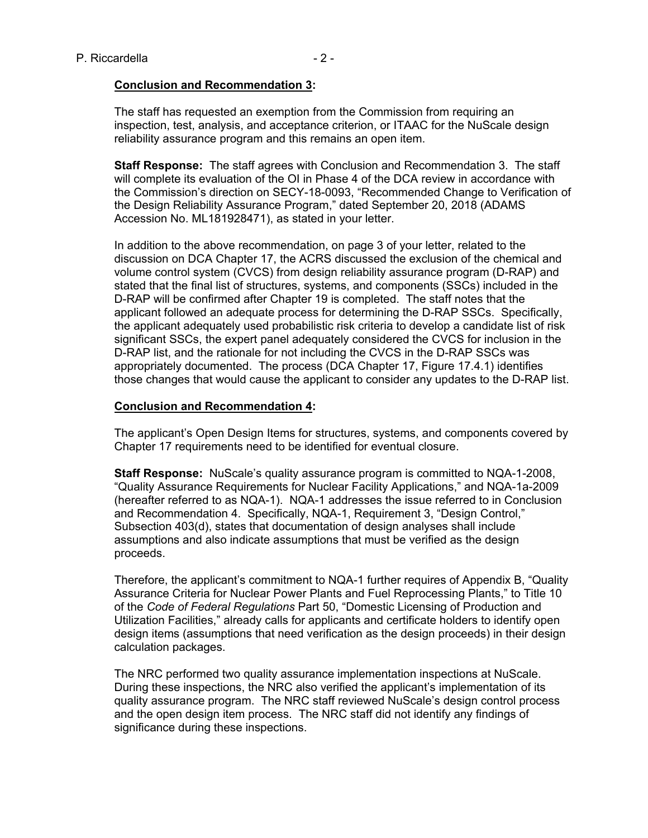#### **Conclusion and Recommendation 3:**

The staff has requested an exemption from the Commission from requiring an inspection, test, analysis, and acceptance criterion, or ITAAC for the NuScale design reliability assurance program and this remains an open item.

**Staff Response:** The staff agrees with Conclusion and Recommendation 3. The staff will complete its evaluation of the OI in Phase 4 of the DCA review in accordance with the Commission's direction on SECY-18-0093, "Recommended Change to Verification of the Design Reliability Assurance Program," dated September 20, 2018 (ADAMS Accession No. ML181928471), as stated in your letter.

In addition to the above recommendation, on page 3 of your letter, related to the discussion on DCA Chapter 17, the ACRS discussed the exclusion of the chemical and volume control system (CVCS) from design reliability assurance program (D-RAP) and stated that the final list of structures, systems, and components (SSCs) included in the D-RAP will be confirmed after Chapter 19 is completed. The staff notes that the applicant followed an adequate process for determining the D-RAP SSCs. Specifically, the applicant adequately used probabilistic risk criteria to develop a candidate list of risk significant SSCs, the expert panel adequately considered the CVCS for inclusion in the D-RAP list, and the rationale for not including the CVCS in the D-RAP SSCs was appropriately documented. The process (DCA Chapter 17, Figure 17.4.1) identifies those changes that would cause the applicant to consider any updates to the D-RAP list.

#### **Conclusion and Recommendation 4:**

The applicant's Open Design Items for structures, systems, and components covered by Chapter 17 requirements need to be identified for eventual closure.

**Staff Response:** NuScale's quality assurance program is committed to NQA-1-2008, "Quality Assurance Requirements for Nuclear Facility Applications," and NQA-1a-2009 (hereafter referred to as NQA-1). NQA-1 addresses the issue referred to in Conclusion and Recommendation 4. Specifically, NQA-1, Requirement 3, "Design Control," Subsection 403(d), states that documentation of design analyses shall include assumptions and also indicate assumptions that must be verified as the design proceeds.

Therefore, the applicant's commitment to NQA-1 further requires of Appendix B, "Quality Assurance Criteria for Nuclear Power Plants and Fuel Reprocessing Plants," to Title 10 of the *Code of Federal Regulations* Part 50, "Domestic Licensing of Production and Utilization Facilities," already calls for applicants and certificate holders to identify open design items (assumptions that need verification as the design proceeds) in their design calculation packages.

The NRC performed two quality assurance implementation inspections at NuScale. During these inspections, the NRC also verified the applicant's implementation of its quality assurance program. The NRC staff reviewed NuScale's design control process and the open design item process. The NRC staff did not identify any findings of significance during these inspections.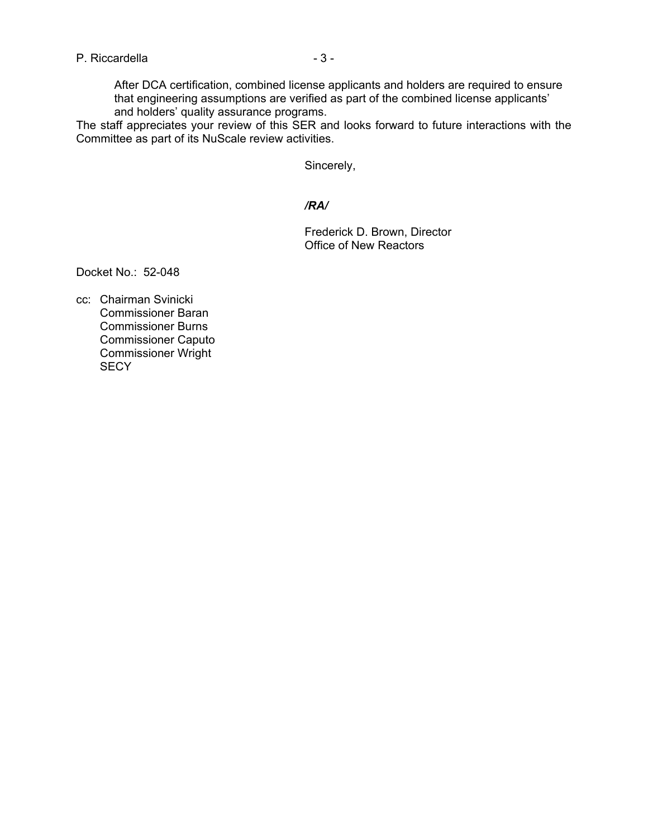After DCA certification, combined license applicants and holders are required to ensure that engineering assumptions are verified as part of the combined license applicants' and holders' quality assurance programs.

The staff appreciates your review of this SER and looks forward to future interactions with the Committee as part of its NuScale review activities.

Sincerely,

#### */RA/*

Frederick D. Brown, Director Office of New Reactors

Docket No.: 52-048

cc: Chairman Svinicki Commissioner Baran Commissioner Burns Commissioner Caputo Commissioner Wright **SECY**